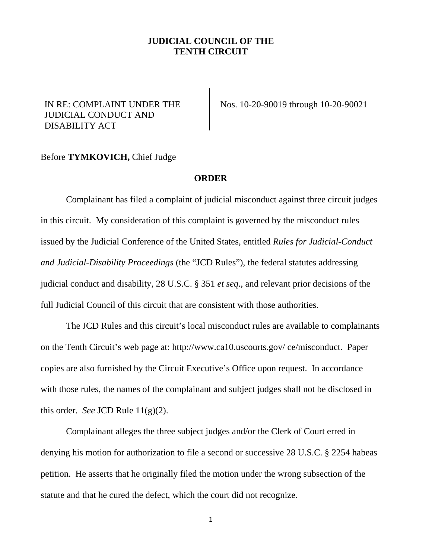## **JUDICIAL COUNCIL OF THE TENTH CIRCUIT**

## IN RE: COMPLAINT UNDER THE JUDICIAL CONDUCT AND DISABILITY ACT

Nos. 10-20-90019 through 10-20-90021

## Before **TYMKOVICH,** Chief Judge

## **ORDER**

Complainant has filed a complaint of judicial misconduct against three circuit judges in this circuit. My consideration of this complaint is governed by the misconduct rules issued by the Judicial Conference of the United States, entitled *Rules for Judicial-Conduct and Judicial-Disability Proceedings* (the "JCD Rules"), the federal statutes addressing judicial conduct and disability, 28 U.S.C. § 351 *et seq*., and relevant prior decisions of the full Judicial Council of this circuit that are consistent with those authorities.

The JCD Rules and this circuit's local misconduct rules are available to complainants on the Tenth Circuit's web page at: http://www.ca10.uscourts.gov/ ce/misconduct. Paper copies are also furnished by the Circuit Executive's Office upon request. In accordance with those rules, the names of the complainant and subject judges shall not be disclosed in this order. *See* JCD Rule 11(g)(2).

Complainant alleges the three subject judges and/or the Clerk of Court erred in denying his motion for authorization to file a second or successive 28 U.S.C. § 2254 habeas petition. He asserts that he originally filed the motion under the wrong subsection of the statute and that he cured the defect, which the court did not recognize.

1